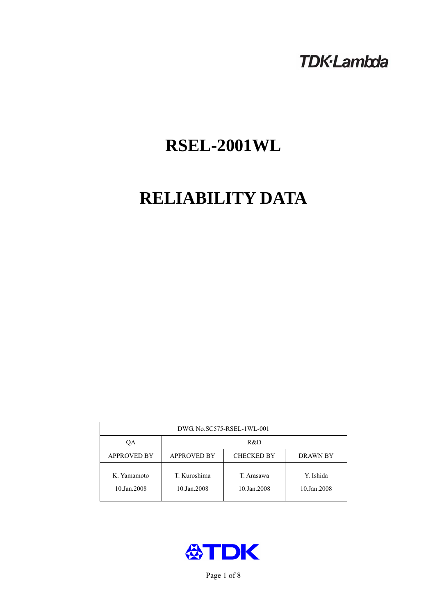## **TDK-Lambda**

# **RSEL-2001WL**

# **RELIABILITY DATA**

| DWG. No.SC575-RSEL-1WL-001 |                                                     |                           |                          |  |
|----------------------------|-----------------------------------------------------|---------------------------|--------------------------|--|
| OА                         | R&D                                                 |                           |                          |  |
| <b>APPROVED BY</b>         | <b>APPROVED BY</b><br><b>CHECKED BY</b><br>DRAWN BY |                           |                          |  |
| K. Yamamoto<br>10.Jan.2008 | T. Kuroshima<br>10.Jan.2008                         | T. Arasawa<br>10.Jan.2008 | Y. Ishida<br>10.Jan.2008 |  |



Page 1 of 8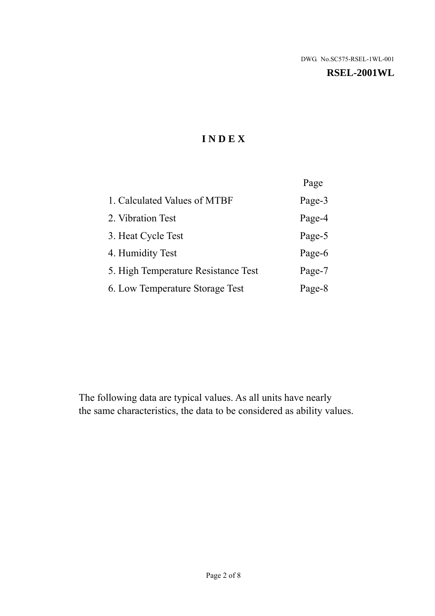#### **RSEL-2001WL**

## **I N D E X**

|                                     | Page   |
|-------------------------------------|--------|
| 1. Calculated Values of MTBF        | Page-3 |
| 2. Vibration Test                   | Page-4 |
| 3. Heat Cycle Test                  | Page-5 |
| 4. Humidity Test                    | Page-6 |
| 5. High Temperature Resistance Test | Page-7 |
| 6. Low Temperature Storage Test     | Page-8 |

The following data are typical values. As all units have nearly the same characteristics, the data to be considered as ability values.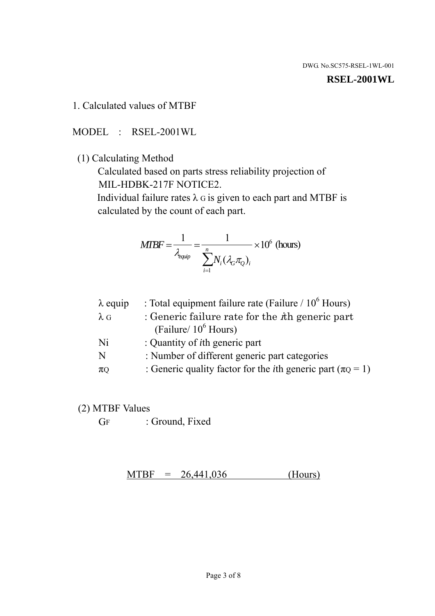#### **RSEL-2001WL**

1. Calculated values of MTBF

MODEL : RSEL-2001WL

(1) Calculating Method

 Calculated based on parts stress reliability projection of MIL-HDBK-217F NOTICE2.

Individual failure rates  $\lambda$  G is given to each part and MTBF is calculated by the count of each part.

$$
MIBF = \frac{1}{\lambda_{\text{equip}}} = \frac{1}{\sum_{i=1}^{n} N_i (\lambda_G \pi_Q)_i} \times 10^6 \text{ (hours)}
$$

| : Total equipment failure rate (Failure / $10^6$ Hours)                   |
|---------------------------------------------------------------------------|
| : Generic failure rate for the $\hbar$ generic part                       |
| (Failure/ $10^6$ Hours)                                                   |
| : Quantity of <i>i</i> th generic part                                    |
| : Number of different generic part categories                             |
| : Generic quality factor for the <i>i</i> th generic part ( $\pi Q = 1$ ) |
|                                                                           |

- (2) MTBF Values
	- GF : Ground, Fixed

 $MTBF = 26,441,036$  (Hours)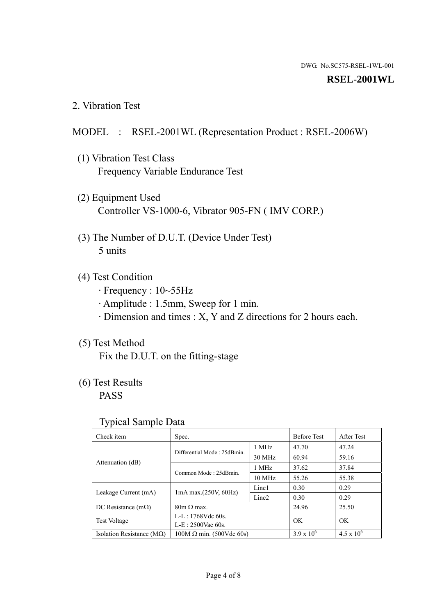#### **RSEL-2001WL**

2. Vibration Test

### MODEL : RSEL-2001WL (Representation Product : RSEL-2006W)

- (1) Vibration Test Class Frequency Variable Endurance Test
- (2) Equipment Used Controller VS-1000-6, Vibrator 905-FN ( IMV CORP.)
- (3) The Number of D.U.T. (Device Under Test) 5 units
- (4) Test Condition
	- · Frequency : 10~55Hz
	- · Amplitude : 1.5mm, Sweep for 1 min.
	- · Dimension and times : X, Y and Z directions for 2 hours each.

#### (5) Test Method

Fix the D.U.T. on the fitting-stage

## (6) Test Results

PASS

#### Typical Sample Data

| . .                                |                                                         |                  |                     |                     |
|------------------------------------|---------------------------------------------------------|------------------|---------------------|---------------------|
| Check item                         | Spec.                                                   |                  | <b>Before Test</b>  | After Test          |
| Attenuation (dB)                   | Differential Mode: 25dBmin.                             | 1 MHz            | 47.70               | 47.24               |
|                                    |                                                         | 30 MHz           | 60.94               | 59.16               |
|                                    | Common Mode: 25dBmin.                                   | 1 MHz            | 37.62               | 37.84               |
|                                    |                                                         | $10 \text{ MHz}$ | 55.26               | 55.38               |
| Leakage Current (mA)               | Line1<br>$1mA$ max. $(250V, 60Hz)$<br>Line <sub>2</sub> |                  | 0.30                | 0.29                |
|                                    |                                                         |                  | 0.30                | 0.29                |
| DC Resistance $(m\Omega)$          | $80m \Omega$ max.                                       |                  | 24.96               | 25.50               |
| <b>Test Voltage</b>                | $L-L: 1768Vdc$ 60s.                                     |                  | OK                  | OK.                 |
|                                    | $L-E$ : 2500Vac 60s.                                    |                  |                     |                     |
| Isolation Resistance ( $M\Omega$ ) | $100M \Omega$ min. (500Vdc 60s)                         |                  | $3.9 \times 10^{6}$ | $4.5 \times 10^{6}$ |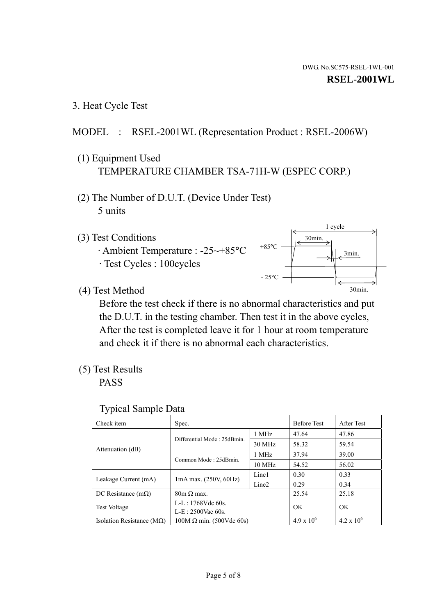1 cycle

30min.

3min.

30min.

3. Heat Cycle Test

## MODEL : RSEL-2001WL (Representation Product : RSEL-2006W)

- (1) Equipment Used TEMPERATURE CHAMBER TSA-71H-W (ESPEC CORP.)
- (2) The Number of D.U.T. (Device Under Test) 5 units
- (3) Test Conditions
	- · Ambient Temperature : -25~+85°C · Test Cycles : 100cycles
- (4) Test Method

 Before the test check if there is no abnormal characteristics and put the D.U.T. in the testing chamber. Then test it in the above cycles, After the test is completed leave it for 1 hour at room temperature and check it if there is no abnormal each characteristics.

 $+85$ °C

 $-25^{\circ}$ C

(5) Test Results

PASS

| <b>Typical Sample Data</b> |  |  |
|----------------------------|--|--|
|----------------------------|--|--|

| Check item                    | Spec.                           |                   | <b>Before Test</b>  | After Test          |
|-------------------------------|---------------------------------|-------------------|---------------------|---------------------|
|                               | Differential Mode: 25dBmin.     | 1 MHz             | 47.64               | 47.86               |
|                               |                                 | 30 MHz            | 58.32               | 59.54               |
| Attenuation (dB)              | Common Mode: 25dBmin.           | 1 MHz             | 37.94               | 39.00               |
|                               |                                 | $10 \text{ MHz}$  | 54.52               | 56.02               |
| Leakage Current (mA)          | 1mA max. (250V, 60Hz)           | Line1             | 0.30                | 0.33                |
|                               |                                 | Line <sub>2</sub> | 0.29                | 0.34                |
| DC Resistance $(m\Omega)$     | $80m \Omega$ max.               |                   | 25.54               | 25.18               |
| <b>Test Voltage</b>           | $L-L: 1768Vdc$ 60s.             |                   | OK                  | OK.                 |
|                               | $L-E: 2500$ Vac 60s.            |                   |                     |                     |
| Isolation Resistance ( $MQ$ ) | $100M \Omega$ min. (500Vdc 60s) |                   | $4.9 \times 10^{6}$ | $4.2 \times 10^{6}$ |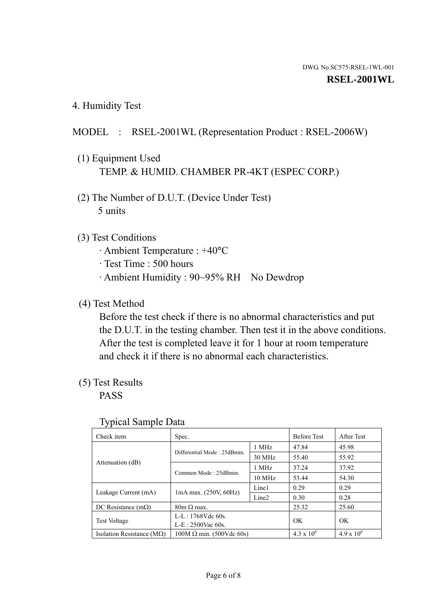4. Humidity Test

## MODEL : RSEL-2001WL (Representation Product : RSEL-2006W)

- (1) Equipment Used TEMP. & HUMID. CHAMBER PR-4KT (ESPEC CORP.)
- (2) The Number of D.U.T. (Device Under Test) 5 units

## (3) Test Conditions

- · Ambient Temperature : +40°C
- · Test Time : 500 hours
- · Ambient Humidity : 90~95% RH No Dewdrop

## (4) Test Method

 Before the test check if there is no abnormal characteristics and put the D.U.T. in the testing chamber. Then test it in the above conditions. After the test is completed leave it for 1 hour at room temperature and check it if there is no abnormal each characteristics.

## (5) Test Results

PASS

| ╯┸                                 |                                 |                   |                     |                     |
|------------------------------------|---------------------------------|-------------------|---------------------|---------------------|
| Check item                         | Spec.                           |                   | <b>Before Test</b>  | After Test          |
|                                    |                                 | 1 MHz             | 47.84               | 45.98               |
|                                    | Differential Mode: 25dBmin.     | 30 MHz            | 55.40               | 55.92               |
| Attenuation (dB)                   | Common Mode: 25dBmin.           | 1 MHz             | 37.24               | 37.92               |
|                                    |                                 | $10 \text{ MHz}$  | 53.44               | 54.30               |
| Leakage Current (mA)               | $1mA$ max. $(250V, 60Hz)$       | Line1             | 0.29                | 0.29                |
|                                    |                                 | Line <sub>2</sub> | 0.30                | 0.28                |
| DC Resistance $(m\Omega)$          | $80m \Omega$ max.               |                   | 25.32               | 25.60               |
| <b>Test Voltage</b>                | $L-L: 1768Vdc$ 60s.             |                   | OK                  | OK.                 |
|                                    | $L-E: 2500$ Vac 60s.            |                   |                     |                     |
| Isolation Resistance ( $M\Omega$ ) | $100M \Omega$ min. (500Vdc 60s) |                   | $4.3 \times 10^{6}$ | $4.9 \times 10^{6}$ |

#### Typical Sample Data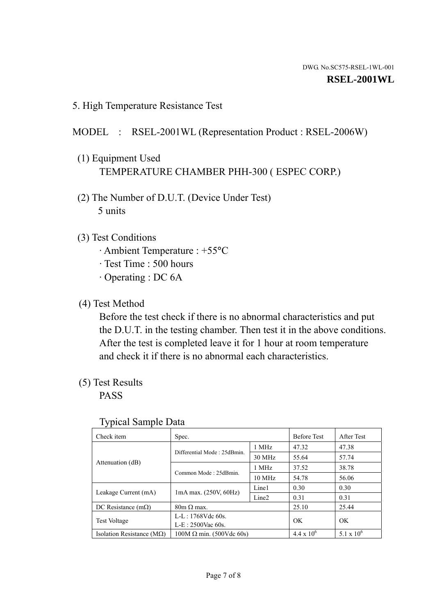5. High Temperature Resistance Test

### MODEL : RSEL-2001WL (Representation Product : RSEL-2006W)

- (1) Equipment Used TEMPERATURE CHAMBER PHH-300 ( ESPEC CORP.)
- (2) The Number of D.U.T. (Device Under Test) 5 units
- (3) Test Conditions
	- · Ambient Temperature : +55°C
	- · Test Time : 500 hours
	- · Operating : DC 6A
- (4) Test Method

 Before the test check if there is no abnormal characteristics and put the D.U.T. in the testing chamber. Then test it in the above conditions. After the test is completed leave it for 1 hour at room temperature and check it if there is no abnormal each characteristics.

(5) Test Results

PASS

| ╯┸                                 |                                 |                   |                     |                     |
|------------------------------------|---------------------------------|-------------------|---------------------|---------------------|
| Check item                         | Spec.                           |                   | <b>Before Test</b>  | After Test          |
| Attenuation (dB)                   | Differential Mode: 25dBmin.     | 1 MHz             | 47.32               | 47.38               |
|                                    |                                 | 30 MHz            | 55.64               | 57.74               |
|                                    | Common Mode: 25dBmin.           | 1 MHz             | 37.52               | 38.78               |
|                                    |                                 | 10 MHz            | 54.78               | 56.06               |
| Leakage Current (mA)               | $1mA$ max. $(250V, 60Hz)$       | Line1             | 0.30                | 0.30                |
|                                    |                                 | Line <sub>2</sub> | 0.31                | 0.31                |
| DC Resistance $(m\Omega)$          | $80m \Omega$ max.               |                   | 25.10               | 25.44               |
| <b>Test Voltage</b>                | $L-L: 1768Vdc$ 60s.             |                   | OK                  | OK                  |
|                                    | $L-E: 2500$ Vac 60s.            |                   |                     |                     |
| Isolation Resistance ( $M\Omega$ ) | $100M \Omega$ min. (500Vdc 60s) |                   | $4.4 \times 10^{6}$ | $5.1 \times 10^{6}$ |

#### Typical Sample Data